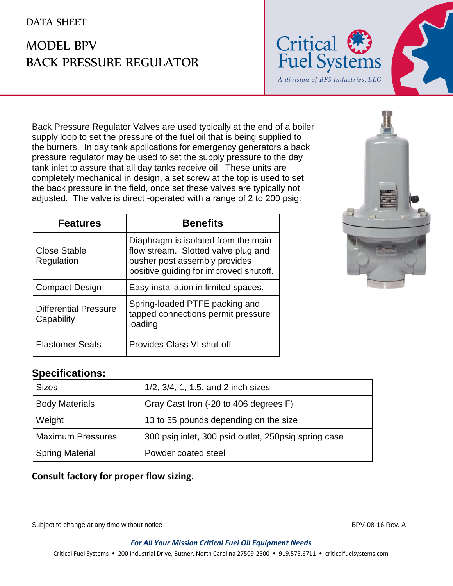### DATA SHEET

# MODEL BPV BACK PRESSURE REGULATOR



Back Pressure Regulator Valves are used typically at the end of a boiler supply loop to set the pressure of the fuel oil that is being supplied to the burners. In day tank applications for emergency generators a back pressure regulator may be used to set the supply pressure to the day tank inlet to assure that all day tanks receive oil. These units are completely mechanical in design, a set screw at the top is used to set the back pressure in the field, once set these valves are typically not adjusted. The valve is direct -operated with a range of 2 to 200 psig.

| <b>Features</b>                            | <b>Benefits</b>                                                                                                                                       |  |  |  |
|--------------------------------------------|-------------------------------------------------------------------------------------------------------------------------------------------------------|--|--|--|
| Close Stable<br>Regulation                 | Diaphragm is isolated from the main<br>flow stream. Slotted valve plug and<br>pusher post assembly provides<br>positive guiding for improved shutoff. |  |  |  |
| <b>Compact Design</b>                      | Easy installation in limited spaces.                                                                                                                  |  |  |  |
| <b>Differential Pressure</b><br>Capability | Spring-loaded PTFE packing and<br>tapped connections permit pressure<br>loading                                                                       |  |  |  |
| <b>Elastomer Seats</b>                     | Provides Class VI shut-off                                                                                                                            |  |  |  |



### **Specifications:**

| <b>Sizes</b>             | 1/2, 3/4, 1, 1.5, and 2 inch sizes                    |
|--------------------------|-------------------------------------------------------|
| <b>Body Materials</b>    | Gray Cast Iron (-20 to 406 degrees F)                 |
| Weight                   | 13 to 55 pounds depending on the size                 |
| <b>Maximum Pressures</b> | 300 psig inlet, 300 psid outlet, 250 psig spring case |
| <b>Spring Material</b>   | Powder coated steel                                   |

#### **Consult factory for proper flow sizing.**

Subject to change at any time without notice **BPV-08-16 Rev. A** BPV-08-16 Rev. A

*For All Your Mission Critical Fuel Oil Equipment Needs*